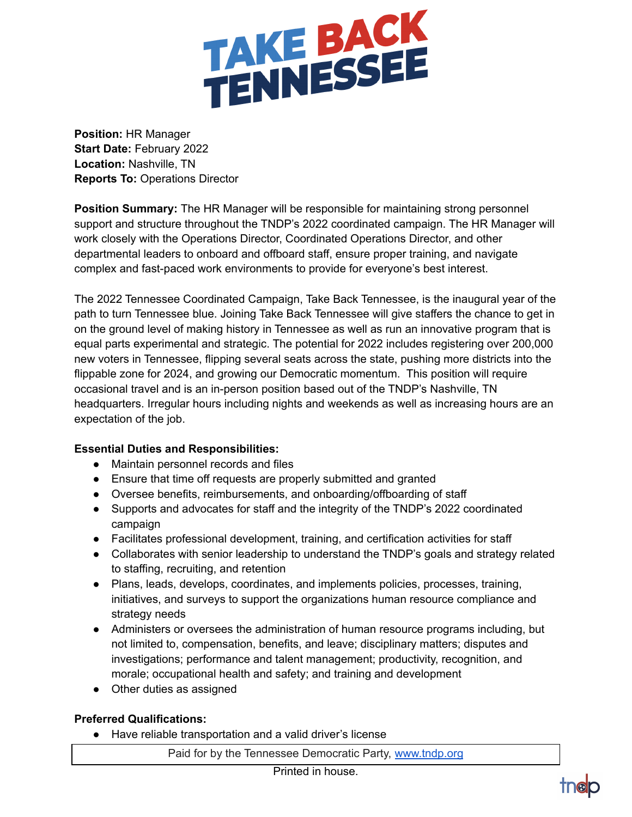

**Position:** HR Manager **Start Date:** February 2022 **Location:** Nashville, TN **Reports To:** Operations Director

**Position Summary:** The HR Manager will be responsible for maintaining strong personnel support and structure throughout the TNDP's 2022 coordinated campaign. The HR Manager will work closely with the Operations Director, Coordinated Operations Director, and other departmental leaders to onboard and offboard staff, ensure proper training, and navigate complex and fast-paced work environments to provide for everyone's best interest.

The 2022 Tennessee Coordinated Campaign, Take Back Tennessee, is the inaugural year of the path to turn Tennessee blue. Joining Take Back Tennessee will give staffers the chance to get in on the ground level of making history in Tennessee as well as run an innovative program that is equal parts experimental and strategic. The potential for 2022 includes registering over 200,000 new voters in Tennessee, flipping several seats across the state, pushing more districts into the flippable zone for 2024, and growing our Democratic momentum. This position will require occasional travel and is an in-person position based out of the TNDP's Nashville, TN headquarters. Irregular hours including nights and weekends as well as increasing hours are an expectation of the job.

## **Essential Duties and Responsibilities:**

- Maintain personnel records and files
- Ensure that time off requests are properly submitted and granted
- Oversee benefits, reimbursements, and onboarding/offboarding of staff
- Supports and advocates for staff and the integrity of the TNDP's 2022 coordinated campaign
- Facilitates professional development, training, and certification activities for staff
- Collaborates with senior leadership to understand the TNDP's goals and strategy related to staffing, recruiting, and retention
- Plans, leads, develops, coordinates, and implements policies, processes, training, initiatives, and surveys to support the organizations human resource compliance and strategy needs
- Administers or oversees the administration of human resource programs including, but not limited to, compensation, benefits, and leave; disciplinary matters; disputes and investigations; performance and talent management; productivity, recognition, and morale; occupational health and safety; and training and development
- Other duties as assigned

## **Preferred Qualifications:**

● Have reliable transportation and a valid driver's license

Paid for by the Tennessee Democratic Party, [www.tndp.org](http://www.tndp.org/)

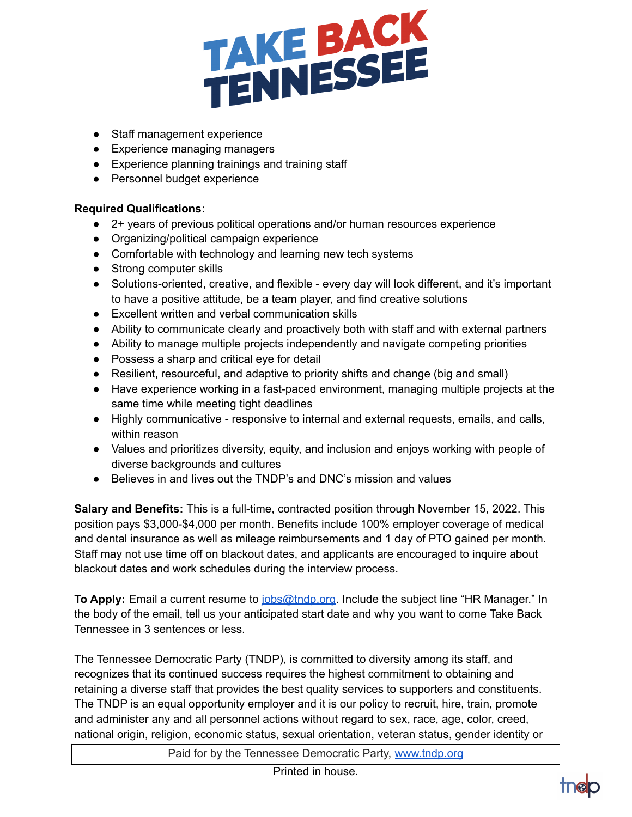

- Staff management experience
- Experience managing managers
- Experience planning trainings and training staff
- Personnel budget experience

## **Required Qualifications:**

- 2+ years of previous political operations and/or human resources experience
- Organizing/political campaign experience
- Comfortable with technology and learning new tech systems
- Strong computer skills
- Solutions-oriented, creative, and flexible every day will look different, and it's important to have a positive attitude, be a team player, and find creative solutions
- Excellent written and verbal communication skills
- Ability to communicate clearly and proactively both with staff and with external partners
- Ability to manage multiple projects independently and navigate competing priorities
- Possess a sharp and critical eye for detail
- Resilient, resourceful, and adaptive to priority shifts and change (big and small)
- Have experience working in a fast-paced environment, managing multiple projects at the same time while meeting tight deadlines
- Highly communicative responsive to internal and external requests, emails, and calls, within reason
- Values and prioritizes diversity, equity, and inclusion and enjoys working with people of diverse backgrounds and cultures
- Believes in and lives out the TNDP's and DNC's mission and values

**Salary and Benefits:** This is a full-time, contracted position through November 15, 2022. This position pays \$3,000-\$4,000 per month. Benefits include 100% employer coverage of medical and dental insurance as well as mileage reimbursements and 1 day of PTO gained per month. Staff may not use time off on blackout dates, and applicants are encouraged to inquire about blackout dates and work schedules during the interview process.

**To Apply:** Email a current resume to [jobs@tndp.org](mailto:jobs@tndp.org). Include the subject line "HR Manager." In the body of the email, tell us your anticipated start date and why you want to come Take Back Tennessee in 3 sentences or less.

The Tennessee Democratic Party (TNDP), is committed to diversity among its staff, and recognizes that its continued success requires the highest commitment to obtaining and retaining a diverse staff that provides the best quality services to supporters and constituents. The TNDP is an equal opportunity employer and it is our policy to recruit, hire, train, promote and administer any and all personnel actions without regard to sex, race, age, color, creed, national origin, religion, economic status, sexual orientation, veteran status, gender identity or